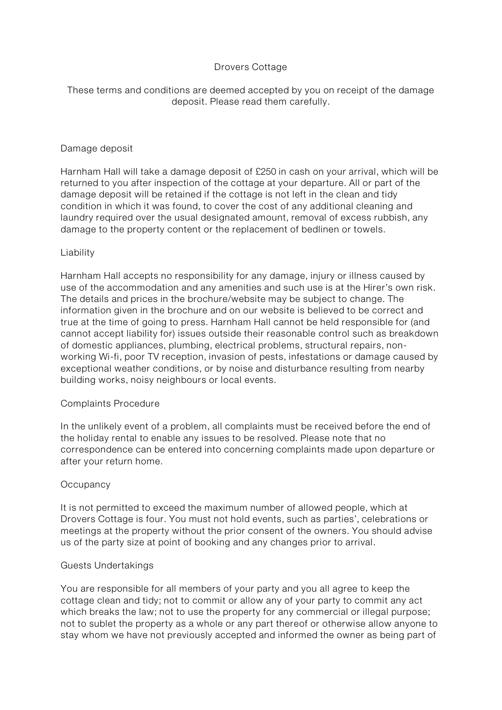# Drovers Cottage

These terms and conditions are deemed accepted by you on receipt of the damage deposit. Please read them carefully.

## Damage deposit

Harnham Hall will take a damage deposit of £250 in cash on your arrival, which will be returned to you after inspection of the cottage at your departure. All or part of the damage deposit will be retained if the cottage is not left in the clean and tidy condition in which it was found, to cover the cost of any additional cleaning and laundry required over the usual designated amount, removal of excess rubbish, any damage to the property content or the replacement of bedlinen or towels.

## Liability

Harnham Hall accepts no responsibility for any damage, injury or illness caused by use of the accommodation and any amenities and such use is at the Hirer's own risk. The details and prices in the brochure/website may be subject to change. The information given in the brochure and on our website is believed to be correct and true at the time of going to press. Harnham Hall cannot be held responsible for (and cannot accept liability for) issues outside their reasonable control such as breakdown of domestic appliances, plumbing, electrical problems, structural repairs, nonworking Wi-fi, poor TV reception, invasion of pests, infestations or damage caused by exceptional weather conditions, or by noise and disturbance resulting from nearby building works, noisy neighbours or local events.

## Complaints Procedure

In the unlikely event of a problem, all complaints must be received before the end of the holiday rental to enable any issues to be resolved. Please note that no correspondence can be entered into concerning complaints made upon departure or after your return home.

# **Occupancy**

It is not permitted to exceed the maximum number of allowed people, which at Drovers Cottage is four. You must not hold events, such as parties', celebrations or meetings at the property without the prior consent of the owners. You should advise us of the party size at point of booking and any changes prior to arrival.

## Guests Undertakings

You are responsible for all members of your party and you all agree to keep the cottage clean and tidy; not to commit or allow any of your party to commit any act which breaks the law; not to use the property for any commercial or illegal purpose; not to sublet the property as a whole or any part thereof or otherwise allow anyone to stay whom we have not previously accepted and informed the owner as being part of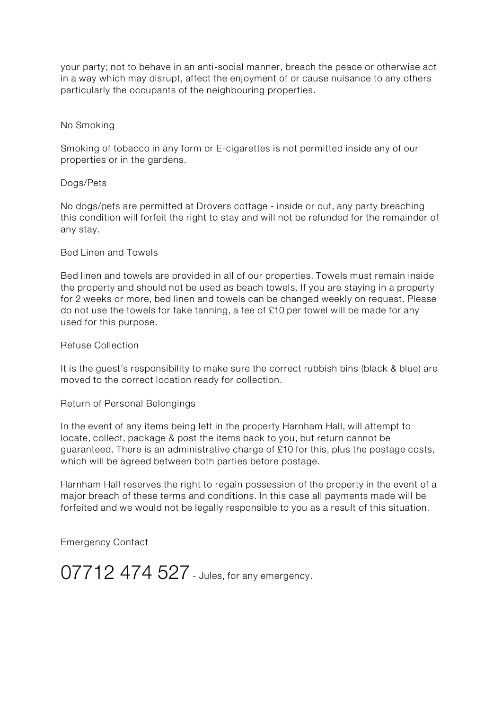your party; not to behave in an anti-social manner, breach the peace or otherwise act in a way which may disrupt, affect the enjoyment of or cause nuisance to any others particularly the occupants of the neighbouring properties.

## No Smoking

Smoking of tobacco in any form or E-cigarettes is not permitted inside any of our properties or in the gardens.

## Dogs/Pets

No dogs/pets are permitted at Drovers cottage - inside or out, any party breaching this condition will forfeit the right to stay and will not be refunded for the remainder of any stay.

## Bed Linen and Towels

Bed linen and towels are provided in all of our properties. Towels must remain inside the property and should not be used as beach towels. If you are staying in a property for 2 weeks or more, bed linen and towels can be changed weekly on request. Please do not use the towels for fake tanning, a fee of £10 per towel will be made for any used for this purpose.

## Refuse Collection

It is the guest's responsibility to make sure the correct rubbish bins (black & blue) are moved to the correct location ready for collection.

## Return of Personal Belongings

In the event of any items being left in the property Harnham Hall, will attempt to locate, collect, package & post the items back to you, but return cannot be guaranteed. There is an administrative charge of £10 for this, plus the postage costs, which will be agreed between both parties before postage.

Harnham Hall reserves the right to regain possession of the property in the event of a major breach of these terms and conditions. In this case all payments made will be forfeited and we would not be legally responsible to you as a result of this situation.

Emergency Contact